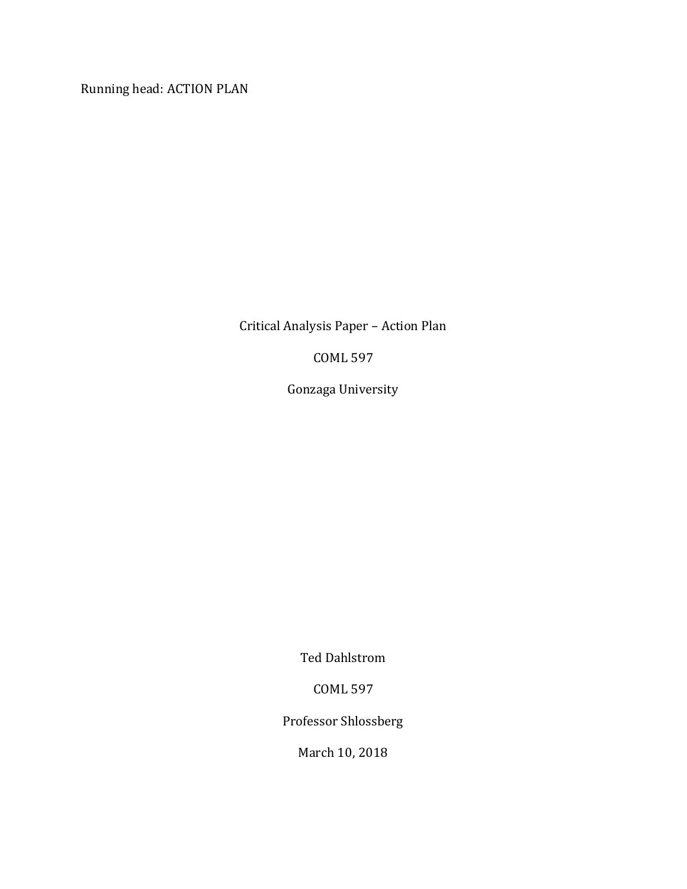Running head: ACTION PLAN

Critical Analysis Paper – Action Plan

COML 597

Gonzaga University

Ted Dahlstrom

COML 597

Professor Shlossberg

March 10, 2018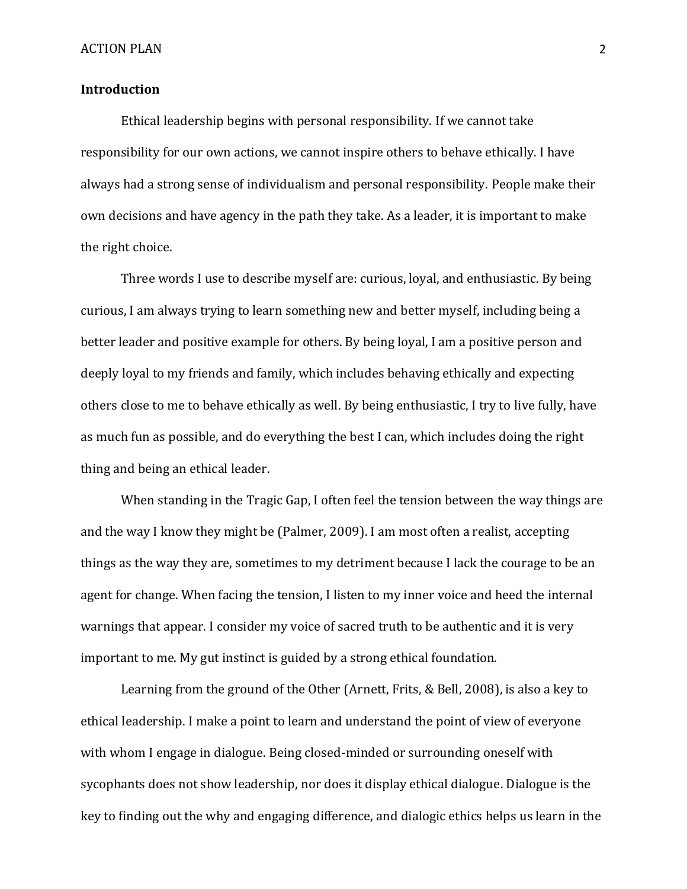## **Introduction**

Ethical leadership begins with personal responsibility. If we cannot take responsibility for our own actions, we cannot inspire others to behave ethically. I have always had a strong sense of individualism and personal responsibility. People make their own decisions and have agency in the path they take. As a leader, it is important to make the right choice.

Three words I use to describe myself are: curious, loyal, and enthusiastic. By being curious, I am always trying to learn something new and better myself, including being a better leader and positive example for others. By being loyal, I am a positive person and deeply loyal to my friends and family, which includes behaving ethically and expecting others close to me to behave ethically as well. By being enthusiastic, I try to live fully, have as much fun as possible, and do everything the best I can, which includes doing the right thing and being an ethical leader.

When standing in the Tragic Gap, I often feel the tension between the way things are and the way I know they might be (Palmer, 2009). I am most often a realist, accepting things as the way they are, sometimes to my detriment because I lack the courage to be an agent for change. When facing the tension, I listen to my inner voice and heed the internal warnings that appear. I consider my voice of sacred truth to be authentic and it is very important to me. My gut instinct is guided by a strong ethical foundation.

Learning from the ground of the Other (Arnett, Frits, & Bell, 2008), is also a key to ethical leadership. I make a point to learn and understand the point of view of everyone with whom I engage in dialogue. Being closed-minded or surrounding oneself with sycophants does not show leadership, nor does it display ethical dialogue. Dialogue is the key to finding out the why and engaging difference, and dialogic ethics helps us learn in the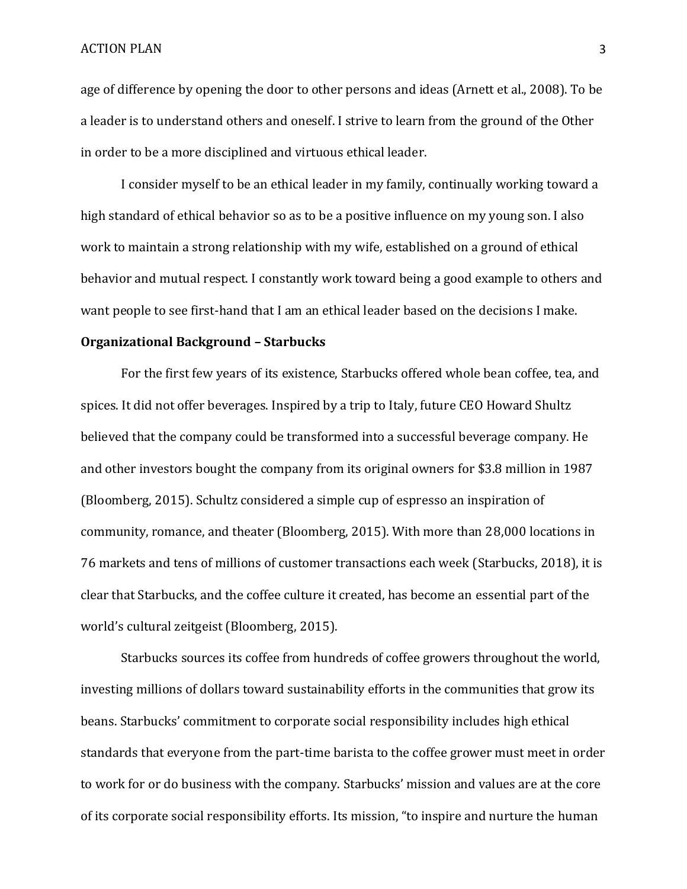age of difference by opening the door to other persons and ideas (Arnett et al., 2008). To be a leader is to understand others and oneself. I strive to learn from the ground of the Other in order to be a more disciplined and virtuous ethical leader.

I consider myself to be an ethical leader in my family, continually working toward a high standard of ethical behavior so as to be a positive influence on my young son. I also work to maintain a strong relationship with my wife, established on a ground of ethical behavior and mutual respect. I constantly work toward being a good example to others and want people to see first-hand that I am an ethical leader based on the decisions I make.

### **Organizational Background – Starbucks**

For the first few years of its existence, Starbucks offered whole bean coffee, tea, and spices. It did not offer beverages. Inspired by a trip to Italy, future CEO Howard Shultz believed that the company could be transformed into a successful beverage company. He and other investors bought the company from its original owners for \$3.8 million in 1987 (Bloomberg, 2015). Schultz considered a simple cup of espresso an inspiration of community, romance, and theater (Bloomberg, 2015). With more than 28,000 locations in 76 markets and tens of millions of customer transactions each week (Starbucks, 2018), it is clear that Starbucks, and the coffee culture it created, has become an essential part of the world's cultural zeitgeist (Bloomberg, 2015).

Starbucks sources its coffee from hundreds of coffee growers throughout the world, investing millions of dollars toward sustainability efforts in the communities that grow its beans. Starbucks' commitment to corporate social responsibility includes high ethical standards that everyone from the part-time barista to the coffee grower must meet in order to work for or do business with the company. Starbucks' mission and values are at the core of its corporate social responsibility efforts. Its mission, "to inspire and nurture the human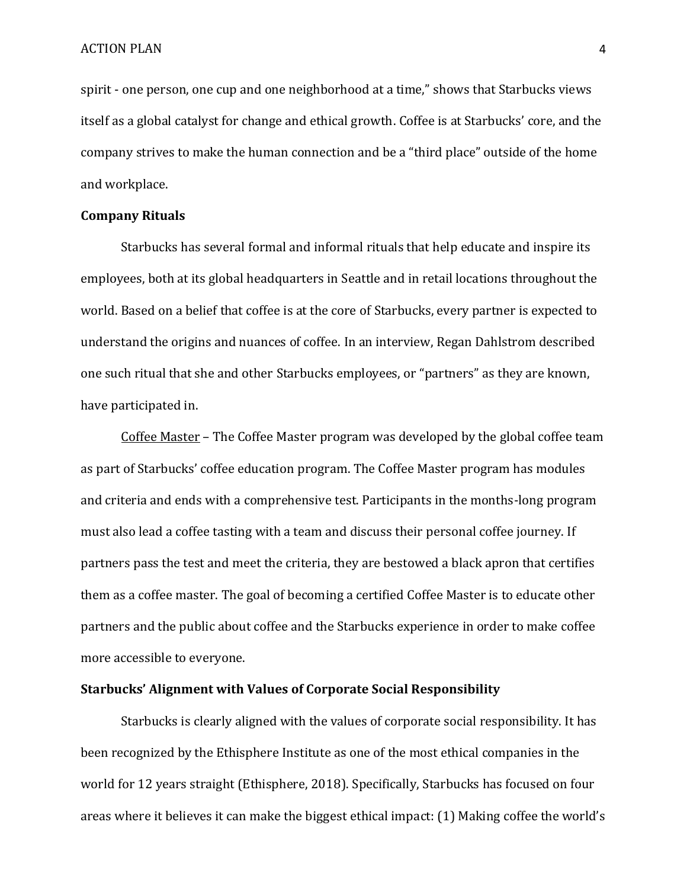spirit - one person, one cup and one neighborhood at a time," shows that Starbucks views itself as a global catalyst for change and ethical growth. Coffee is at Starbucks' core, and the company strives to make the human connection and be a "third place" outside of the home and workplace.

### **Company Rituals**

Starbucks has several formal and informal rituals that help educate and inspire its employees, both at its global headquarters in Seattle and in retail locations throughout the world. Based on a belief that coffee is at the core of Starbucks, every partner is expected to understand the origins and nuances of coffee. In an interview, Regan Dahlstrom described one such ritual that she and other Starbucks employees, or "partners" as they are known, have participated in.

Coffee Master – The Coffee Master program was developed by the global coffee team as part of Starbucks' coffee education program. The Coffee Master program has modules and criteria and ends with a comprehensive test. Participants in the months-long program must also lead a coffee tasting with a team and discuss their personal coffee journey. If partners pass the test and meet the criteria, they are bestowed a black apron that certifies them as a coffee master. The goal of becoming a certified Coffee Master is to educate other partners and the public about coffee and the Starbucks experience in order to make coffee more accessible to everyone.

## **Starbucks' Alignment with Values of Corporate Social Responsibility**

Starbucks is clearly aligned with the values of corporate social responsibility. It has been recognized by the Ethisphere Institute as one of the most ethical companies in the world for 12 years straight (Ethisphere, 2018). Specifically, Starbucks has focused on four areas where it believes it can make the biggest ethical impact: (1) Making coffee the world's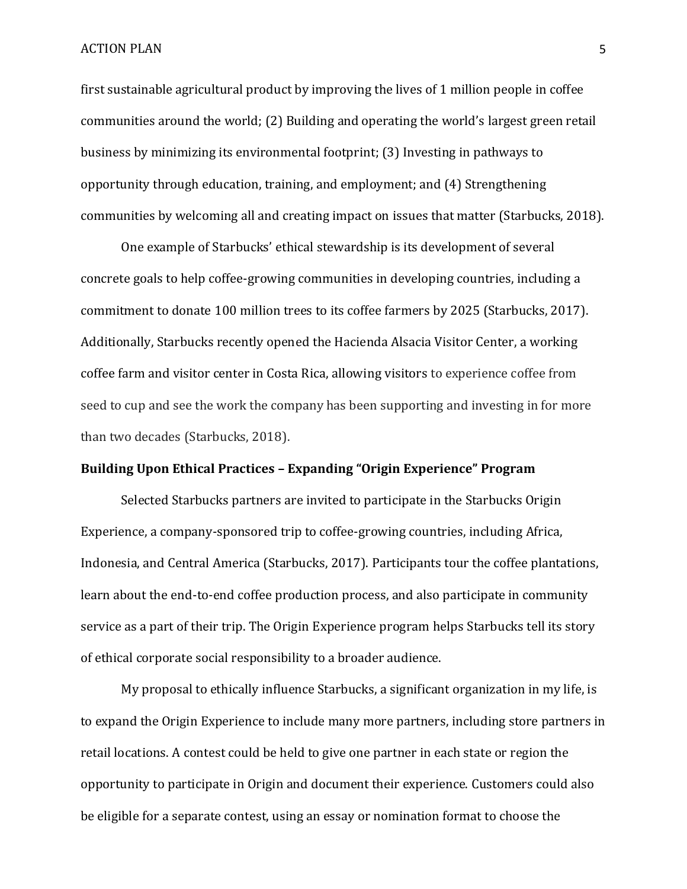first sustainable agricultural product by improving the lives of 1 million people in coffee communities around the world; (2) Building and operating the world's largest green retail business by minimizing its environmental footprint; (3) Investing in pathways to opportunity through education, training, and employment; and (4) Strengthening communities by welcoming all and creating impact on issues that matter (Starbucks, 2018).

One example of Starbucks' ethical stewardship is its development of several concrete goals to help coffee-growing communities in developing countries, including a commitment to donate 100 million trees to its coffee farmers by 2025 (Starbucks, 2017). Additionally, Starbucks recently opened the Hacienda Alsacia Visitor Center, a working coffee farm and visitor center in Costa Rica, allowing visitors to experience coffee from seed to cup and see the work the company has been supporting and investing in for more than two decades (Starbucks, 2018).

# **Building Upon Ethical Practices – Expanding "Origin Experience" Program**

Selected Starbucks partners are invited to participate in the Starbucks Origin Experience, a company-sponsored trip to coffee-growing countries, including Africa, Indonesia, and Central America (Starbucks, 2017). Participants tour the coffee plantations, learn about the end-to-end coffee production process, and also participate in community service as a part of their trip. The Origin Experience program helps Starbucks tell its story of ethical corporate social responsibility to a broader audience.

My proposal to ethically influence Starbucks, a significant organization in my life, is to expand the Origin Experience to include many more partners, including store partners in retail locations. A contest could be held to give one partner in each state or region the opportunity to participate in Origin and document their experience. Customers could also be eligible for a separate contest, using an essay or nomination format to choose the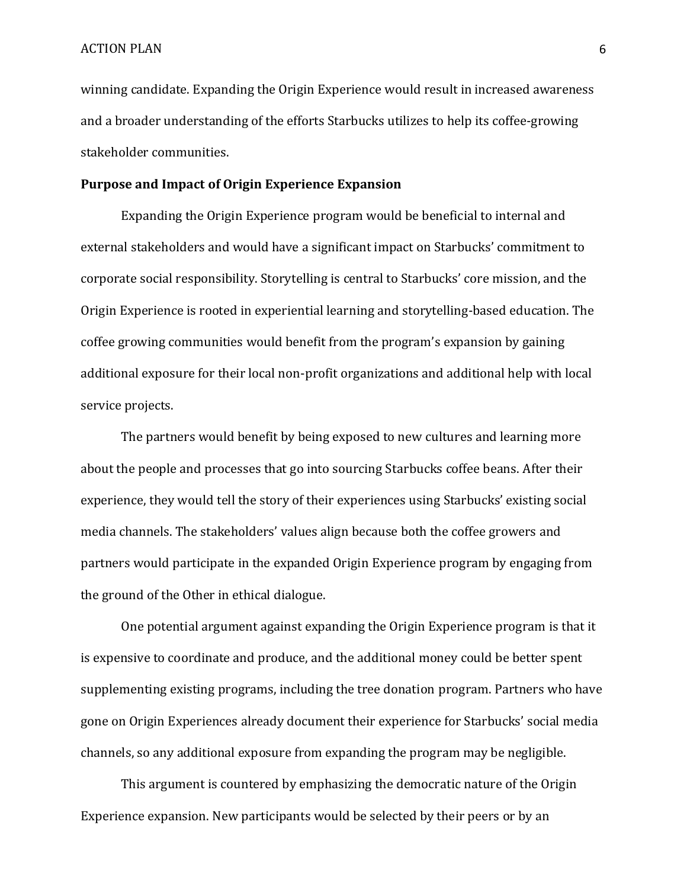winning candidate. Expanding the Origin Experience would result in increased awareness and a broader understanding of the efforts Starbucks utilizes to help its coffee-growing stakeholder communities.

## **Purpose and Impact of Origin Experience Expansion**

Expanding the Origin Experience program would be beneficial to internal and external stakeholders and would have a significant impact on Starbucks' commitment to corporate social responsibility. Storytelling is central to Starbucks' core mission, and the Origin Experience is rooted in experiential learning and storytelling-based education. The coffee growing communities would benefit from the program's expansion by gaining additional exposure for their local non-profit organizations and additional help with local service projects.

The partners would benefit by being exposed to new cultures and learning more about the people and processes that go into sourcing Starbucks coffee beans. After their experience, they would tell the story of their experiences using Starbucks' existing social media channels. The stakeholders' values align because both the coffee growers and partners would participate in the expanded Origin Experience program by engaging from the ground of the Other in ethical dialogue.

One potential argument against expanding the Origin Experience program is that it is expensive to coordinate and produce, and the additional money could be better spent supplementing existing programs, including the tree donation program. Partners who have gone on Origin Experiences already document their experience for Starbucks' social media channels, so any additional exposure from expanding the program may be negligible.

This argument is countered by emphasizing the democratic nature of the Origin Experience expansion. New participants would be selected by their peers or by an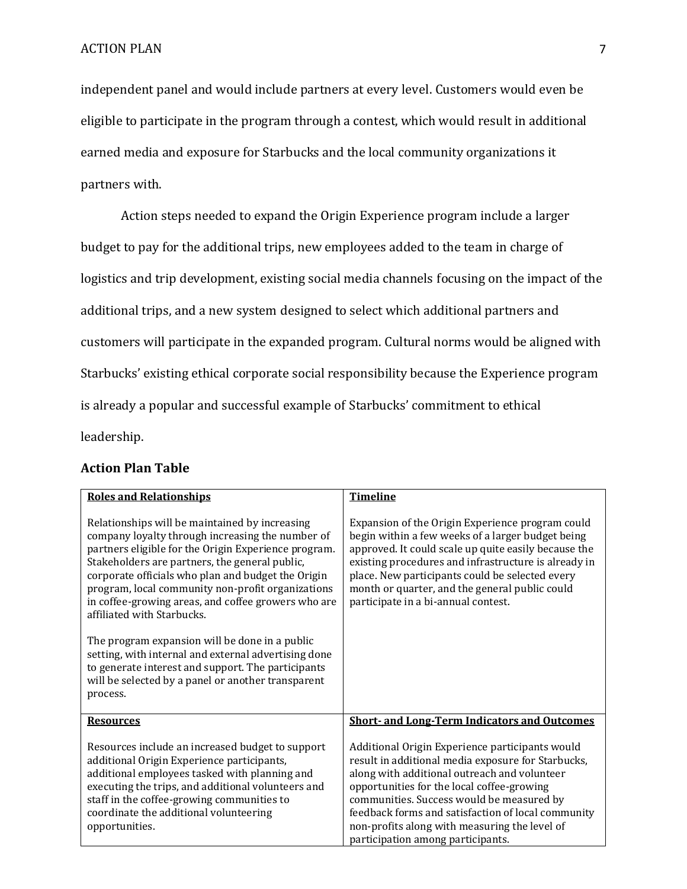independent panel and would include partners at every level. Customers would even be eligible to participate in the program through a contest, which would result in additional earned media and exposure for Starbucks and the local community organizations it partners with.

Action steps needed to expand the Origin Experience program include a larger budget to pay for the additional trips, new employees added to the team in charge of logistics and trip development, existing social media channels focusing on the impact of the additional trips, and a new system designed to select which additional partners and customers will participate in the expanded program. Cultural norms would be aligned with Starbucks' existing ethical corporate social responsibility because the Experience program is already a popular and successful example of Starbucks' commitment to ethical leadership.

## **Action Plan Table**

| <b>Roles and Relationships</b>                                                                                                                                                                                                                                                                                                                                                                               | <b>Timeline</b>                                                                                                                                                                                                                                                                                                                                                                              |
|--------------------------------------------------------------------------------------------------------------------------------------------------------------------------------------------------------------------------------------------------------------------------------------------------------------------------------------------------------------------------------------------------------------|----------------------------------------------------------------------------------------------------------------------------------------------------------------------------------------------------------------------------------------------------------------------------------------------------------------------------------------------------------------------------------------------|
| Relationships will be maintained by increasing<br>company loyalty through increasing the number of<br>partners eligible for the Origin Experience program.<br>Stakeholders are partners, the general public,<br>corporate officials who plan and budget the Origin<br>program, local community non-profit organizations<br>in coffee-growing areas, and coffee growers who are<br>affiliated with Starbucks. | Expansion of the Origin Experience program could<br>begin within a few weeks of a larger budget being<br>approved. It could scale up quite easily because the<br>existing procedures and infrastructure is already in<br>place. New participants could be selected every<br>month or quarter, and the general public could<br>participate in a bi-annual contest.                            |
| The program expansion will be done in a public<br>setting, with internal and external advertising done<br>to generate interest and support. The participants<br>will be selected by a panel or another transparent<br>process.                                                                                                                                                                               |                                                                                                                                                                                                                                                                                                                                                                                              |
| <b>Resources</b>                                                                                                                                                                                                                                                                                                                                                                                             | <b>Short- and Long-Term Indicators and Outcomes</b>                                                                                                                                                                                                                                                                                                                                          |
| Resources include an increased budget to support<br>additional Origin Experience participants,<br>additional employees tasked with planning and<br>executing the trips, and additional volunteers and<br>staff in the coffee-growing communities to<br>coordinate the additional volunteering<br>opportunities.                                                                                              | Additional Origin Experience participants would<br>result in additional media exposure for Starbucks,<br>along with additional outreach and volunteer<br>opportunities for the local coffee-growing<br>communities. Success would be measured by<br>feedback forms and satisfaction of local community<br>non-profits along with measuring the level of<br>participation among participants. |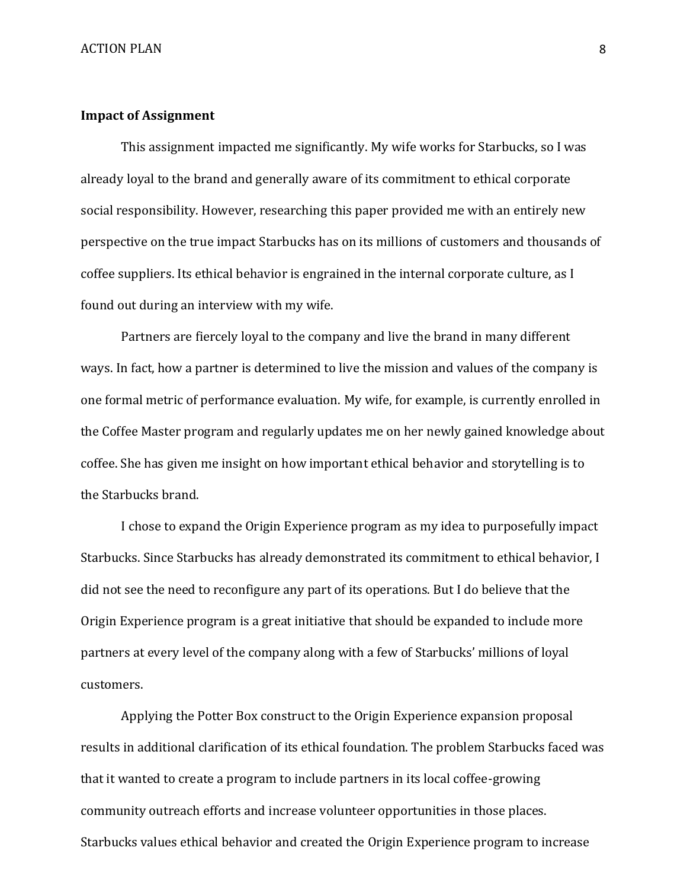### **Impact of Assignment**

This assignment impacted me significantly. My wife works for Starbucks, so I was already loyal to the brand and generally aware of its commitment to ethical corporate social responsibility. However, researching this paper provided me with an entirely new perspective on the true impact Starbucks has on its millions of customers and thousands of coffee suppliers. Its ethical behavior is engrained in the internal corporate culture, as I found out during an interview with my wife.

Partners are fiercely loyal to the company and live the brand in many different ways. In fact, how a partner is determined to live the mission and values of the company is one formal metric of performance evaluation. My wife, for example, is currently enrolled in the Coffee Master program and regularly updates me on her newly gained knowledge about coffee. She has given me insight on how important ethical behavior and storytelling is to the Starbucks brand.

I chose to expand the Origin Experience program as my idea to purposefully impact Starbucks. Since Starbucks has already demonstrated its commitment to ethical behavior, I did not see the need to reconfigure any part of its operations. But I do believe that the Origin Experience program is a great initiative that should be expanded to include more partners at every level of the company along with a few of Starbucks' millions of loyal customers.

Applying the Potter Box construct to the Origin Experience expansion proposal results in additional clarification of its ethical foundation. The problem Starbucks faced was that it wanted to create a program to include partners in its local coffee-growing community outreach efforts and increase volunteer opportunities in those places. Starbucks values ethical behavior and created the Origin Experience program to increase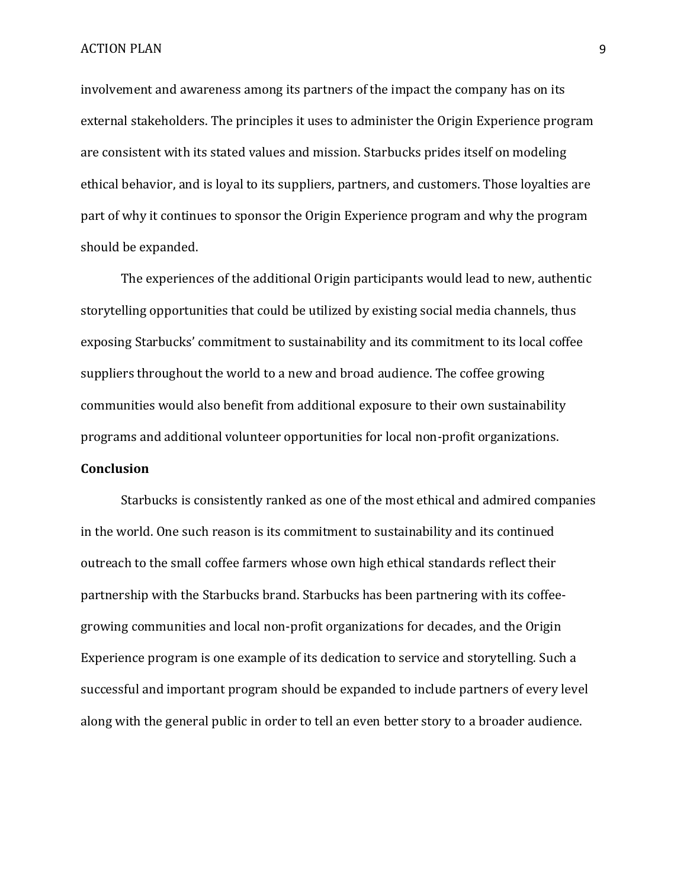involvement and awareness among its partners of the impact the company has on its external stakeholders. The principles it uses to administer the Origin Experience program are consistent with its stated values and mission. Starbucks prides itself on modeling ethical behavior, and is loyal to its suppliers, partners, and customers. Those loyalties are part of why it continues to sponsor the Origin Experience program and why the program should be expanded.

The experiences of the additional Origin participants would lead to new, authentic storytelling opportunities that could be utilized by existing social media channels, thus exposing Starbucks' commitment to sustainability and its commitment to its local coffee suppliers throughout the world to a new and broad audience. The coffee growing communities would also benefit from additional exposure to their own sustainability programs and additional volunteer opportunities for local non-profit organizations.

## **Conclusion**

Starbucks is consistently ranked as one of the most ethical and admired companies in the world. One such reason is its commitment to sustainability and its continued outreach to the small coffee farmers whose own high ethical standards reflect their partnership with the Starbucks brand. Starbucks has been partnering with its coffeegrowing communities and local non-profit organizations for decades, and the Origin Experience program is one example of its dedication to service and storytelling. Such a successful and important program should be expanded to include partners of every level along with the general public in order to tell an even better story to a broader audience.